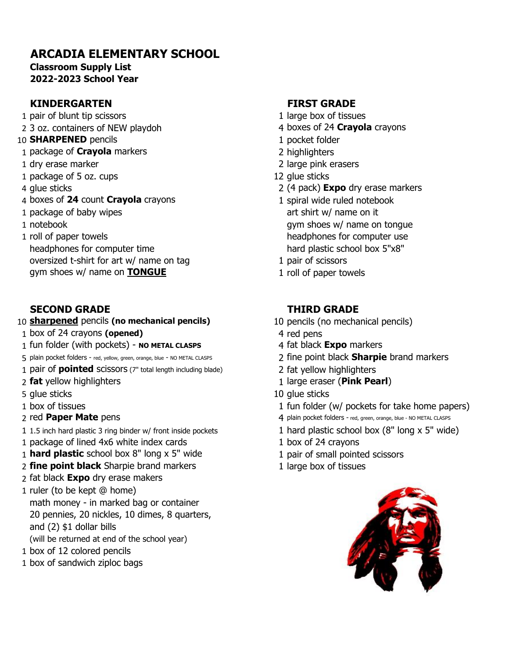# **ARCADIA ELEMENTARY SCHOOL**

**Classroom Supply List 2022-2023 School Year**

## **KINDERGARTEN FIRST GRADE**

- 1 pair of blunt tip scissors 1 large box of tissues
- 2 3 oz. containers of NEW playdoh 4 boxes of 24 **Crayola** crayons
- 10 **SHARPENED** pencils 1 pocket folder
- 1 package of **Crayola** markers 2 highlighters
- 
- 1 package of 5 oz. cups 12 glue sticks
- 
- 4 boxes of **24** count **Crayola** crayons 1 spiral wide ruled notebook
- 
- 
- 1 roll of paper towels headphones for computer use headphones for computer time hard plastic school box 5"x8" oversized t-shirt for art w/ name on tag 1 pair of scissors gym shoes w/ name on **TONGUE** 1 roll of paper towels

## **SECOND GRADE THIRD GRADE**

### 10 **sharpened** pencils **(no mechanical pencils)** 10 pencils (no mechanical pencils)

- 1 box of 24 crayons **(opened)** 4 red pens
- 1 fun folder (with pockets) **NO METAL CLASPS** 4 fat black **Expo** markers
- 5 plain pocket folders red, yellow, green, orange, blue NO METAL CLASPS 2 fine point black **Sharpie** brand markers
- 1 pair of **pointed** scissors (7" total length including blade) 2 fat yellow highlighters
- 
- 
- 
- 
- 1 1.5 inch hard plastic 3 ring binder w/ front inside pockets 1 hard plastic school box (8" long x 5" wide)
- 1 package of lined 4x6 white index cards 1 box of 24 crayons
- 1 **hard plastic** school box 8" long x 5" wide 1 pair of small pointed scissors
- 2 **fine point black** Sharpie brand markers 1 large box of tissues
- 2 fat black **Expo** dry erase makers
- 1 ruler (to be kept @ home) math money - in marked bag or container 20 pennies, 20 nickles, 10 dimes, 8 quarters, and (2) \$1 dollar bills (will be returned at end of the school year)
- 1 box of 12 colored pencils
- 1 box of sandwich ziploc bags

- 
- 
- 
- 
- 1 dry erase marker **2** large pink erasers
	-
- 4 glue sticks 2 (4 pack) **Expo** dry erase markers
- 1 package of baby wipes art shirt w/ name on it 1 notebook gym shoes w/ name on tongue
	-
	-

- -
- 
- 
- 
- 2 **fat** yellow highlighters 1 large eraser (**Pink Pearl**)
- 5 glue sticks 10 glue sticks
- 1 box of tissues 1 fun folder (w/ pockets for take home papers)
- 2 **red Paper Mate** pens 2 **12 and 12 plain pocket folders** red, green, orange, blue NO METAL CLASPS
	-
	-
	-
	-